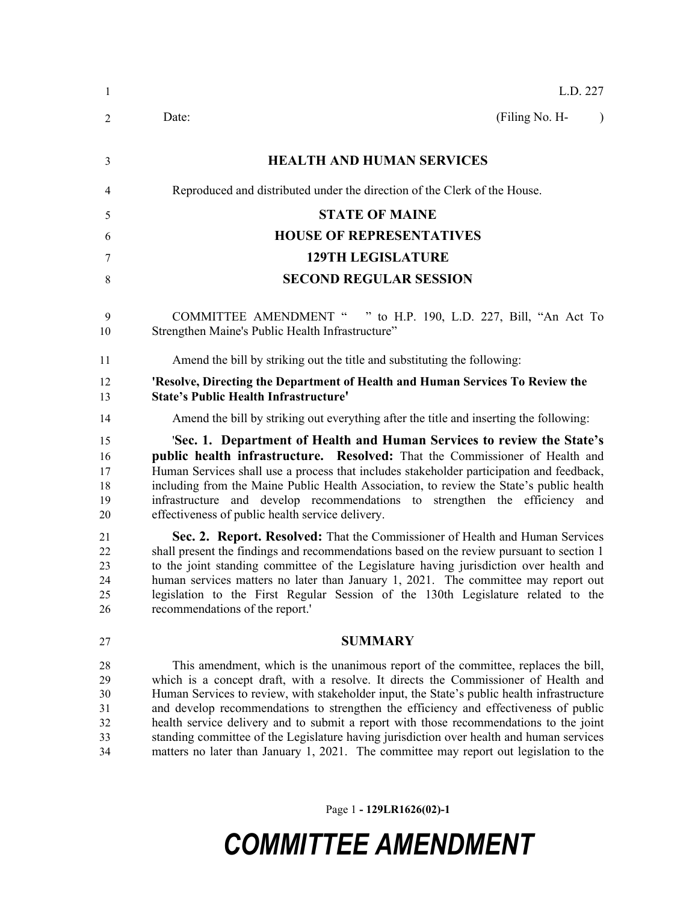| -1                                     | L.D. 227                                                                                                                                                                                                                                                                                                                                                                                                                                                                                                                                                                                                                                        |
|----------------------------------------|-------------------------------------------------------------------------------------------------------------------------------------------------------------------------------------------------------------------------------------------------------------------------------------------------------------------------------------------------------------------------------------------------------------------------------------------------------------------------------------------------------------------------------------------------------------------------------------------------------------------------------------------------|
| 2                                      | (Filing No. H-<br>Date:<br>$\lambda$                                                                                                                                                                                                                                                                                                                                                                                                                                                                                                                                                                                                            |
| 3                                      | <b>HEALTH AND HUMAN SERVICES</b>                                                                                                                                                                                                                                                                                                                                                                                                                                                                                                                                                                                                                |
| 4                                      | Reproduced and distributed under the direction of the Clerk of the House.                                                                                                                                                                                                                                                                                                                                                                                                                                                                                                                                                                       |
| 5                                      | <b>STATE OF MAINE</b>                                                                                                                                                                                                                                                                                                                                                                                                                                                                                                                                                                                                                           |
| 6                                      | <b>HOUSE OF REPRESENTATIVES</b>                                                                                                                                                                                                                                                                                                                                                                                                                                                                                                                                                                                                                 |
| 7                                      | <b>129TH LEGISLATURE</b>                                                                                                                                                                                                                                                                                                                                                                                                                                                                                                                                                                                                                        |
| 8                                      | <b>SECOND REGULAR SESSION</b>                                                                                                                                                                                                                                                                                                                                                                                                                                                                                                                                                                                                                   |
| 9<br>10                                | <b>COMMITTEE AMENDMENT "</b><br>" to H.P. 190, L.D. 227, Bill, "An Act To<br>Strengthen Maine's Public Health Infrastructure"                                                                                                                                                                                                                                                                                                                                                                                                                                                                                                                   |
| 11                                     | Amend the bill by striking out the title and substituting the following:                                                                                                                                                                                                                                                                                                                                                                                                                                                                                                                                                                        |
| 12<br>13                               | 'Resolve, Directing the Department of Health and Human Services To Review the<br><b>State's Public Health Infrastructure'</b>                                                                                                                                                                                                                                                                                                                                                                                                                                                                                                                   |
| 14                                     | Amend the bill by striking out everything after the title and inserting the following:                                                                                                                                                                                                                                                                                                                                                                                                                                                                                                                                                          |
| 15<br>16<br>17<br>18<br>19<br>20       | 'Sec. 1. Department of Health and Human Services to review the State's<br>public health infrastructure. Resolved: That the Commissioner of Health and<br>Human Services shall use a process that includes stakeholder participation and feedback,<br>including from the Maine Public Health Association, to review the State's public health<br>infrastructure and develop recommendations to strengthen the efficiency and<br>effectiveness of public health service delivery.                                                                                                                                                                 |
| 21<br>22<br>23<br>24<br>25<br>26       | Sec. 2. Report. Resolved: That the Commissioner of Health and Human Services<br>shall present the findings and recommendations based on the review pursuant to section 1<br>to the joint standing committee of the Legislature having jurisdiction over health and<br>human services matters no later than January 1, 2021. The committee may report out<br>legislation to the First Regular Session of the 130th Legislature related to the<br>recommendations of the report."                                                                                                                                                                 |
| 27                                     | <b>SUMMARY</b>                                                                                                                                                                                                                                                                                                                                                                                                                                                                                                                                                                                                                                  |
| 28<br>29<br>30<br>31<br>32<br>33<br>34 | This amendment, which is the unanimous report of the committee, replaces the bill,<br>which is a concept draft, with a resolve. It directs the Commissioner of Health and<br>Human Services to review, with stakeholder input, the State's public health infrastructure<br>and develop recommendations to strengthen the efficiency and effectiveness of public<br>health service delivery and to submit a report with those recommendations to the joint<br>standing committee of the Legislature having jurisdiction over health and human services<br>matters no later than January 1, 2021. The committee may report out legislation to the |

Page 1 **- 129LR1626(02)-1**

## *COMMITTEE AMENDMENT*